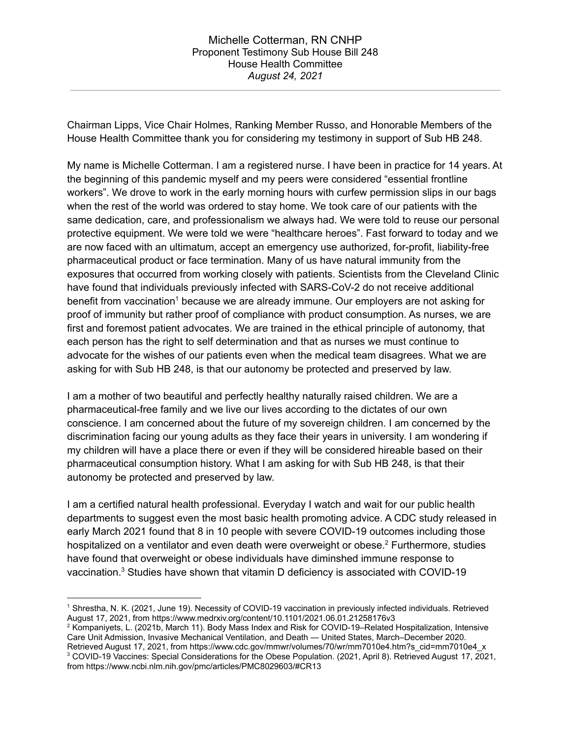Chairman Lipps, Vice Chair Holmes, Ranking Member Russo, and Honorable Members of the House Health Committee thank you for considering my testimony in support of Sub HB 248.

My name is Michelle Cotterman. I am a registered nurse. I have been in practice for 14 years. At the beginning of this pandemic myself and my peers were considered "essential frontline workers". We drove to work in the early morning hours with curfew permission slips in our bags when the rest of the world was ordered to stay home. We took care of our patients with the same dedication, care, and professionalism we always had. We were told to reuse our personal protective equipment. We were told we were "healthcare heroes". Fast forward to today and we are now faced with an ultimatum, accept an emergency use authorized, for-profit, liability-free pharmaceutical product or face termination. Many of us have natural immunity from the exposures that occurred from working closely with patients. Scientists from the Cleveland Clinic have found that individuals previously infected with SARS-CoV-2 do not receive additional benefit from vaccination<sup>1</sup> because we are already immune. Our employers are not asking for proof of immunity but rather proof of compliance with product consumption. As nurses, we are first and foremost patient advocates. We are trained in the ethical principle of autonomy, that each person has the right to self determination and that as nurses we must continue to advocate for the wishes of our patients even when the medical team disagrees. What we are asking for with Sub HB 248, is that our autonomy be protected and preserved by law.

I am a mother of two beautiful and perfectly healthy naturally raised children. We are a pharmaceutical-free family and we live our lives according to the dictates of our own conscience. I am concerned about the future of my sovereign children. I am concerned by the discrimination facing our young adults as they face their years in university. I am wondering if my children will have a place there or even if they will be considered hireable based on their pharmaceutical consumption history. What I am asking for with Sub HB 248, is that their autonomy be protected and preserved by law.

I am a certified natural health professional. Everyday I watch and wait for our public health departments to suggest even the most basic health promoting advice. A CDC study released in early March 2021 found that 8 in 10 people with severe COVID-19 outcomes including those hospitalized on a ventilator and even death were overweight or obese.<sup>2</sup> Furthermore, studies have found that overweight or obese individuals have diminshed immune response to vaccination. <sup>3</sup> Studies have shown that vitamin D deficiency is associated with COVID-19

<sup>1</sup> Shrestha, N. K. (2021, June 19). Necessity of COVID-19 vaccination in previously infected individuals. Retrieved August 17, 2021, from https://www.medrxiv.org/content/10.1101/2021.06.01.21258176v3

<sup>3</sup> COVID-19 Vaccines: Special Considerations for the Obese Population. (2021, April 8). Retrieved August 17, 2021, from https://www.ncbi.nlm.nih.gov/pmc/articles/PMC8029603/#CR13 <sup>2</sup> Kompaniyets, L. (2021b, March 11). Body Mass Index and Risk for COVID-19–Related Hospitalization, Intensive Care Unit Admission, Invasive Mechanical Ventilation, and Death — United States, March–December 2020. Retrieved August 17, 2021, from https://www.cdc.gov/mmwr/volumes/70/wr/mm7010e4.htm?s\_cid=mm7010e4\_x